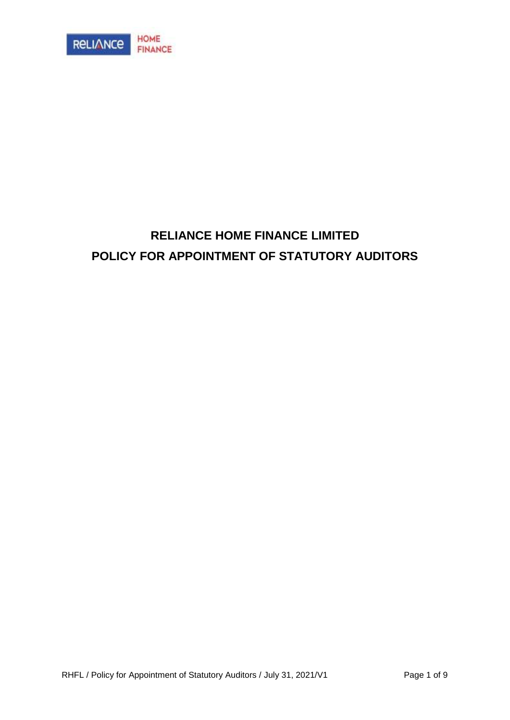

# **RELIANCE HOME FINANCE LIMITED POLICY FOR APPOINTMENT OF STATUTORY AUDITORS**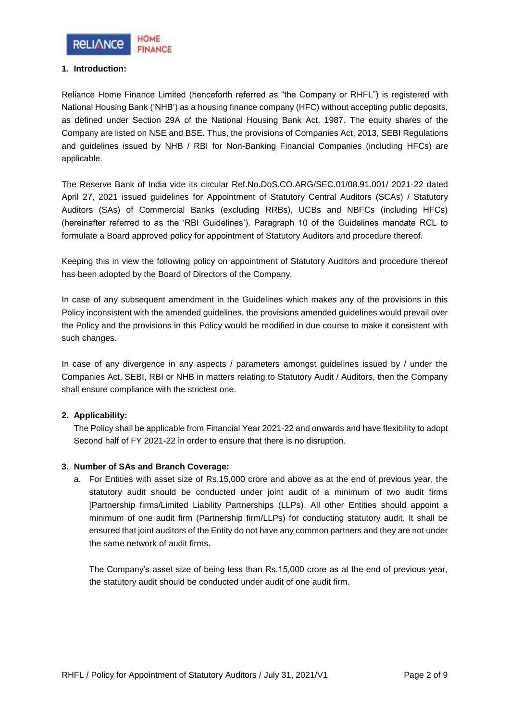

## **1. Introduction:**

Reliance Home Finance Limited (henceforth referred as "the Company or RHFL") is registered with National Housing Bank ('NHB') as a housing finance company (HFC) without accepting public deposits, as defined under Section 29A of the National Housing Bank Act, 1987. The equity shares of the Company are listed on NSE and BSE. Thus, the provisions of Companies Act, 2013, SEBI Regulations and guidelines issued by NHB / RBI for Non-Banking Financial Companies (including HFCs) are applicable.

The Reserve Bank of India vide its circular Ref.No.DoS.CO.ARG/SEC.01/08.91.001/ 2021-22 dated April 27, 2021 issued guidelines for Appointment of Statutory Central Auditors (SCAs) / Statutory Auditors (SAs) of Commercial Banks (excluding RRBs), UCBs and NBFCs (including HFCs) (hereinafter referred to as the 'RBI Guidelines'). Paragraph 10 of the Guidelines mandate RCL to formulate a Board approved policy for appointment of Statutory Auditors and procedure thereof.

Keeping this in view the following policy on appointment of Statutory Auditors and procedure thereof has been adopted by the Board of Directors of the Company.

In case of any subsequent amendment in the Guidelines which makes any of the provisions in this Policy inconsistent with the amended guidelines, the provisions amended guidelines would prevail over the Policy and the provisions in this Policy would be modified in due course to make it consistent with such changes.

In case of any divergence in any aspects / parameters amongst guidelines issued by / under the Companies Act, SEBI, RBI or NHB in matters relating to Statutory Audit / Auditors, then the Company shall ensure compliance with the strictest one.

## **2. Applicability:**

The Policy shall be applicable from Financial Year 2021-22 and onwards and have flexibility to adopt Second half of FY 2021-22 in order to ensure that there is no disruption.

#### **3. Number of SAs and Branch Coverage:**

a. For Entities with asset size of Rs.15,000 crore and above as at the end of previous year, the statutory audit should be conducted under joint audit of a minimum of two audit firms [Partnership firms/Limited Liability Partnerships (LLPs). All other Entities should appoint a minimum of one audit firm (Partnership firm/LLPs) for conducting statutory audit. It shall be ensured that joint auditors of the Entity do not have any common partners and they are not under the same network of audit firms.

The Company's asset size of being less than Rs.15,000 crore as at the end of previous year, the statutory audit should be conducted under audit of one audit firm.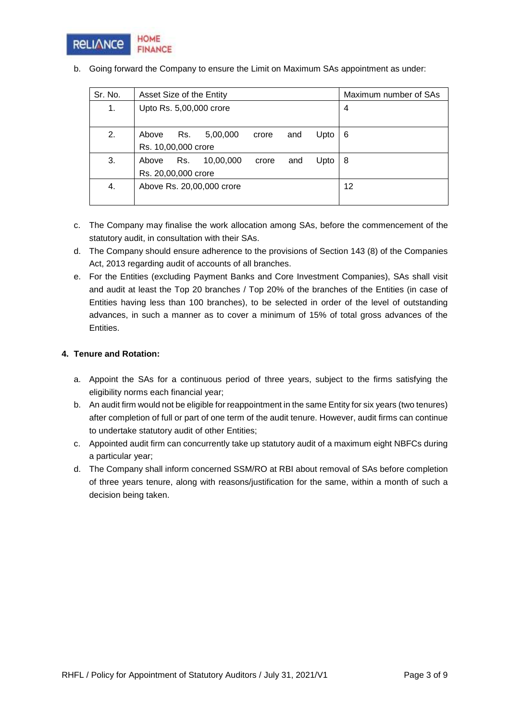

| Sr. No. | Asset Size of the Entity  |     |           |       |     | Maximum number of SAs |   |  |
|---------|---------------------------|-----|-----------|-------|-----|-----------------------|---|--|
| 1.      | Upto Rs. 5,00,000 crore   |     |           |       |     | 4                     |   |  |
|         |                           |     |           |       |     |                       |   |  |
| 2.      | Above                     | Rs. | 5,00,000  | crore | and | Upto                  | 6 |  |
|         | Rs. 10,00,000 crore       |     |           |       |     |                       |   |  |
| 3.      | Above                     | Rs. | 10,00,000 | crore | and | Upto                  | 8 |  |
|         | Rs. 20,00,000 crore       |     |           |       |     |                       |   |  |
| 4.      | Above Rs. 20,00,000 crore |     |           |       |     | 12                    |   |  |
|         |                           |     |           |       |     |                       |   |  |

b. Going forward the Company to ensure the Limit on Maximum SAs appointment as under:

- c. The Company may finalise the work allocation among SAs, before the commencement of the statutory audit, in consultation with their SAs.
- d. The Company should ensure adherence to the provisions of Section 143 (8) of the Companies Act, 2013 regarding audit of accounts of all branches.
- e. For the Entities (excluding Payment Banks and Core Investment Companies), SAs shall visit and audit at least the Top 20 branches / Top 20% of the branches of the Entities (in case of Entities having less than 100 branches), to be selected in order of the level of outstanding advances, in such a manner as to cover a minimum of 15% of total gross advances of the Entities.

#### **4. Tenure and Rotation:**

- a. Appoint the SAs for a continuous period of three years, subject to the firms satisfying the eligibility norms each financial year;
- b. An audit firm would not be eligible for reappointment in the same Entity for six years (two tenures) after completion of full or part of one term of the audit tenure. However, audit firms can continue to undertake statutory audit of other Entities;
- c. Appointed audit firm can concurrently take up statutory audit of a maximum eight NBFCs during a particular year;
- d. The Company shall inform concerned SSM/RO at RBI about removal of SAs before completion of three years tenure, along with reasons/justification for the same, within a month of such a decision being taken.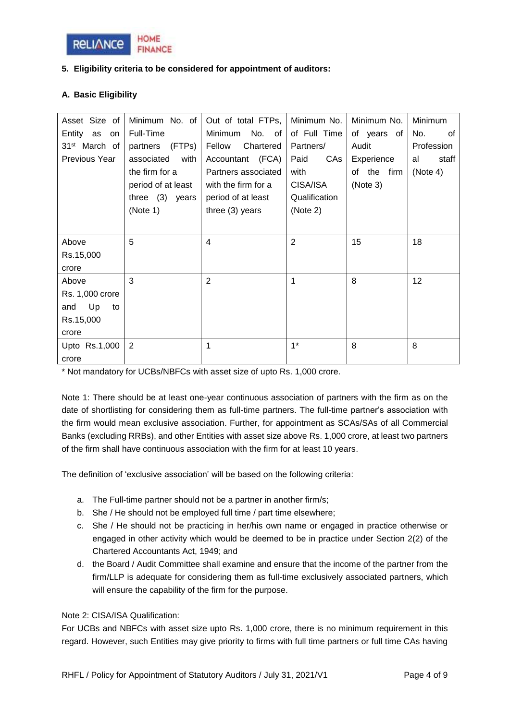

## **5. Eligibility criteria to be considered for appointment of auditors:**

## **A. Basic Eligibility**

| Asset Size of             | Minimum No. of     | Out of total FTPs,    | Minimum No.   | Minimum No. | <b>Minimum</b> |
|---------------------------|--------------------|-----------------------|---------------|-------------|----------------|
| Entity as on              | Full-Time          | Minimum<br>No. of $ $ | of Full Time  | of years of | No.<br>0f      |
| 31 <sup>st</sup> March of | (FTPs)<br>partners | Chartered<br>Fellow   | Partners/     | Audit       | Profession     |
| Previous Year             | associated<br>with | Accountant (FCA)      | Paid<br>CAs   | Experience  | staff<br>al    |
|                           | the firm for a     | Partners associated   | with          | of the firm | (Note 4)       |
|                           | period of at least | with the firm for a   | CISA/ISA      | (Note 3)    |                |
|                           | three $(3)$ years  | period of at least    | Qualification |             |                |
|                           | (Note 1)           | three $(3)$ years     | (Note 2)      |             |                |
|                           |                    |                       |               |             |                |
| Above                     | 5                  | 4                     | 2             | 15          | 18             |
| Rs.15,000                 |                    |                       |               |             |                |
| crore                     |                    |                       |               |             |                |
| Above                     | 3                  | $\overline{2}$        | 1             | 8           | 12             |
| Rs. 1,000 crore           |                    |                       |               |             |                |
| Up<br>and<br>to           |                    |                       |               |             |                |
| Rs.15,000                 |                    |                       |               |             |                |
| crore                     |                    |                       |               |             |                |
| Upto Rs.1,000             | 2                  |                       | $1^*$         | 8           | 8              |
| crore                     |                    |                       |               |             |                |

\* Not mandatory for UCBs/NBFCs with asset size of upto Rs. 1,000 crore.

Note 1: There should be at least one-year continuous association of partners with the firm as on the date of shortlisting for considering them as full-time partners. The full-time partner's association with the firm would mean exclusive association. Further, for appointment as SCAs/SAs of all Commercial Banks (excluding RRBs), and other Entities with asset size above Rs. 1,000 crore, at least two partners of the firm shall have continuous association with the firm for at least 10 years.

The definition of 'exclusive association' will be based on the following criteria:

- a. The Full-time partner should not be a partner in another firm/s;
- b. She / He should not be employed full time / part time elsewhere;
- c. She / He should not be practicing in her/his own name or engaged in practice otherwise or engaged in other activity which would be deemed to be in practice under Section 2(2) of the Chartered Accountants Act, 1949; and
- d. the Board / Audit Committee shall examine and ensure that the income of the partner from the firm/LLP is adequate for considering them as full-time exclusively associated partners, which will ensure the capability of the firm for the purpose.

## Note 2: CISA/ISA Qualification:

For UCBs and NBFCs with asset size upto Rs. 1,000 crore, there is no minimum requirement in this regard. However, such Entities may give priority to firms with full time partners or full time CAs having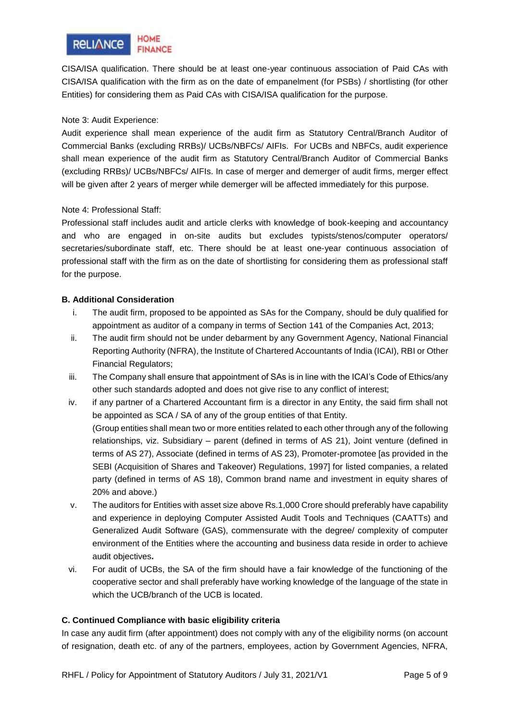

CISA/ISA qualification. There should be at least one-year continuous association of Paid CAs with CISA/ISA qualification with the firm as on the date of empanelment (for PSBs) / shortlisting (for other Entities) for considering them as Paid CAs with CISA/ISA qualification for the purpose.

#### Note 3: Audit Experience:

Audit experience shall mean experience of the audit firm as Statutory Central/Branch Auditor of Commercial Banks (excluding RRBs)/ UCBs/NBFCs/ AIFIs. For UCBs and NBFCs, audit experience shall mean experience of the audit firm as Statutory Central/Branch Auditor of Commercial Banks (excluding RRBs)/ UCBs/NBFCs/ AIFIs. In case of merger and demerger of audit firms, merger effect will be given after 2 years of merger while demerger will be affected immediately for this purpose.

#### Note 4: Professional Staff:

Professional staff includes audit and article clerks with knowledge of book-keeping and accountancy and who are engaged in on-site audits but excludes typists/stenos/computer operators/ secretaries/subordinate staff, etc. There should be at least one-year continuous association of professional staff with the firm as on the date of shortlisting for considering them as professional staff for the purpose.

#### **B. Additional Consideration**

- i. The audit firm, proposed to be appointed as SAs for the Company, should be duly qualified for appointment as auditor of a company in terms of Section 141 of the Companies Act, 2013;
- ii. The audit firm should not be under debarment by any Government Agency, National Financial Reporting Authority (NFRA), the Institute of Chartered Accountants of India (ICAI), RBI or Other Financial Regulators;
- iii. The Company shall ensure that appointment of SAs is in line with the ICAI's Code of Ethics/any other such standards adopted and does not give rise to any conflict of interest;
- iv. if any partner of a Chartered Accountant firm is a director in any Entity, the said firm shall not be appointed as SCA / SA of any of the group entities of that Entity. (Group entities shall mean two or more entities related to each other through any of the following relationships, viz. Subsidiary – parent (defined in terms of AS 21), Joint venture (defined in terms of AS 27), Associate (defined in terms of AS 23), Promoter-promotee [as provided in the SEBI (Acquisition of Shares and Takeover) Regulations, 1997] for listed companies, a related party (defined in terms of AS 18), Common brand name and investment in equity shares of 20% and above.)
- v. The auditors for Entities with asset size above Rs.1,000 Crore should preferably have capability and experience in deploying Computer Assisted Audit Tools and Techniques (CAATTs) and Generalized Audit Software (GAS), commensurate with the degree/ complexity of computer environment of the Entities where the accounting and business data reside in order to achieve audit objectives**.**
- vi. For audit of UCBs, the SA of the firm should have a fair knowledge of the functioning of the cooperative sector and shall preferably have working knowledge of the language of the state in which the UCB/branch of the UCB is located.

## **C. Continued Compliance with basic eligibility criteria**

In case any audit firm (after appointment) does not comply with any of the eligibility norms (on account of resignation, death etc. of any of the partners, employees, action by Government Agencies, NFRA,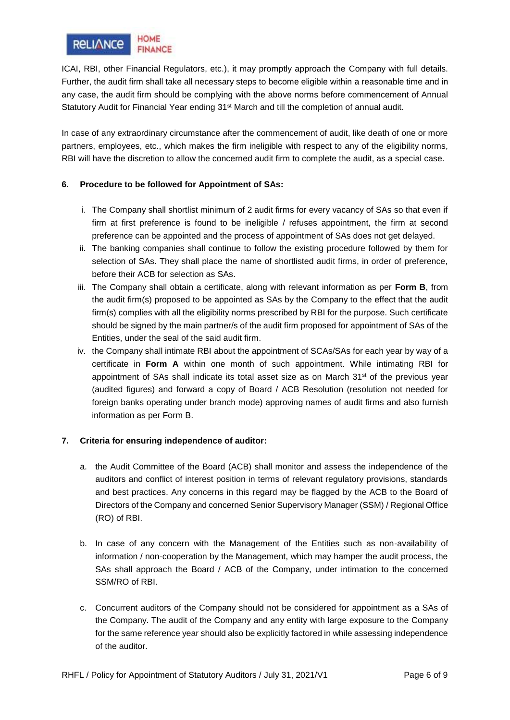

ICAI, RBI, other Financial Regulators, etc.), it may promptly approach the Company with full details. Further, the audit firm shall take all necessary steps to become eligible within a reasonable time and in any case, the audit firm should be complying with the above norms before commencement of Annual Statutory Audit for Financial Year ending 31<sup>st</sup> March and till the completion of annual audit.

In case of any extraordinary circumstance after the commencement of audit, like death of one or more partners, employees, etc., which makes the firm ineligible with respect to any of the eligibility norms, RBI will have the discretion to allow the concerned audit firm to complete the audit, as a special case.

## **6. Procedure to be followed for Appointment of SAs:**

- i. The Company shall shortlist minimum of 2 audit firms for every vacancy of SAs so that even if firm at first preference is found to be ineligible / refuses appointment, the firm at second preference can be appointed and the process of appointment of SAs does not get delayed.
- ii. The banking companies shall continue to follow the existing procedure followed by them for selection of SAs. They shall place the name of shortlisted audit firms, in order of preference, before their ACB for selection as SAs.
- iii. The Company shall obtain a certificate, along with relevant information as per **Form B**, from the audit firm(s) proposed to be appointed as SAs by the Company to the effect that the audit firm(s) complies with all the eligibility norms prescribed by RBI for the purpose. Such certificate should be signed by the main partner/s of the audit firm proposed for appointment of SAs of the Entities, under the seal of the said audit firm.
- iv. the Company shall intimate RBI about the appointment of SCAs/SAs for each year by way of a certificate in **Form A** within one month of such appointment. While intimating RBI for appointment of SAs shall indicate its total asset size as on March  $31<sup>st</sup>$  of the previous year (audited figures) and forward a copy of Board / ACB Resolution (resolution not needed for foreign banks operating under branch mode) approving names of audit firms and also furnish information as per Form B.

## **7. Criteria for ensuring independence of auditor:**

- a. the Audit Committee of the Board (ACB) shall monitor and assess the independence of the auditors and conflict of interest position in terms of relevant regulatory provisions, standards and best practices. Any concerns in this regard may be flagged by the ACB to the Board of Directors of the Company and concerned Senior Supervisory Manager (SSM) / Regional Office (RO) of RBI.
- b. In case of any concern with the Management of the Entities such as non-availability of information / non-cooperation by the Management, which may hamper the audit process, the SAs shall approach the Board / ACB of the Company, under intimation to the concerned SSM/RO of RBI.
- c. Concurrent auditors of the Company should not be considered for appointment as a SAs of the Company. The audit of the Company and any entity with large exposure to the Company for the same reference year should also be explicitly factored in while assessing independence of the auditor.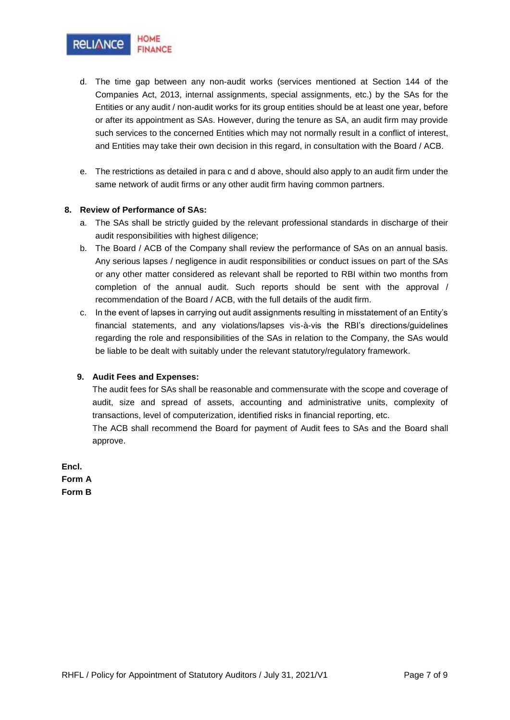

- d. The time gap between any non-audit works (services mentioned at Section 144 of the Companies Act, 2013, internal assignments, special assignments, etc.) by the SAs for the Entities or any audit / non-audit works for its group entities should be at least one year, before or after its appointment as SAs. However, during the tenure as SA, an audit firm may provide such services to the concerned Entities which may not normally result in a conflict of interest, and Entities may take their own decision in this regard, in consultation with the Board / ACB.
- e. The restrictions as detailed in para c and d above, should also apply to an audit firm under the same network of audit firms or any other audit firm having common partners.

#### **8. Review of Performance of SAs:**

- a. The SAs shall be strictly guided by the relevant professional standards in discharge of their audit responsibilities with highest diligence;
- b. The Board / ACB of the Company shall review the performance of SAs on an annual basis. Any serious lapses / negligence in audit responsibilities or conduct issues on part of the SAs or any other matter considered as relevant shall be reported to RBI within two months from completion of the annual audit. Such reports should be sent with the approval / recommendation of the Board / ACB, with the full details of the audit firm.
- c. In the event of lapses in carrying out audit assignments resulting in misstatement of an Entity's financial statements, and any violations/lapses vis-à-vis the RBI's directions/guidelines regarding the role and responsibilities of the SAs in relation to the Company, the SAs would be liable to be dealt with suitably under the relevant statutory/regulatory framework.

#### **9. Audit Fees and Expenses:**

The audit fees for SAs shall be reasonable and commensurate with the scope and coverage of audit, size and spread of assets, accounting and administrative units, complexity of transactions, level of computerization, identified risks in financial reporting, etc.

The ACB shall recommend the Board for payment of Audit fees to SAs and the Board shall approve.

**Encl. Form A Form B**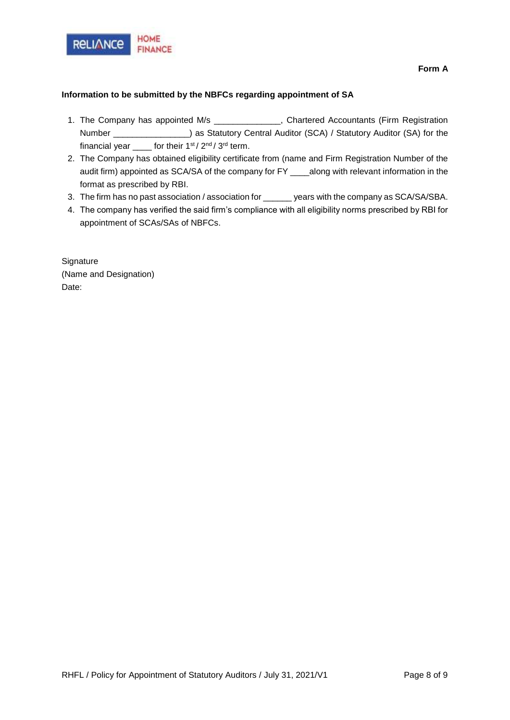

#### **Information to be submitted by the NBFCs regarding appointment of SA**

- 1. The Company has appointed M/s \_\_\_\_\_\_\_\_\_\_\_\_\_\_, Chartered Accountants (Firm Registration Number \_\_\_\_\_\_\_\_\_\_\_\_\_\_\_\_) as Statutory Central Auditor (SCA) / Statutory Auditor (SA) for the financial year  $\frac{1}{2}$  for their 1st / 2<sup>nd</sup> / 3<sup>rd</sup> term.
- 2. The Company has obtained eligibility certificate from (name and Firm Registration Number of the audit firm) appointed as SCA/SA of the company for FY \_\_\_\_along with relevant information in the format as prescribed by RBI.
- 3. The firm has no past association / association for \_\_\_\_\_\_ years with the company as SCA/SA/SBA.
- 4. The company has verified the said firm's compliance with all eligibility norms prescribed by RBI for appointment of SCAs/SAs of NBFCs.

**Signature** (Name and Designation) Date: